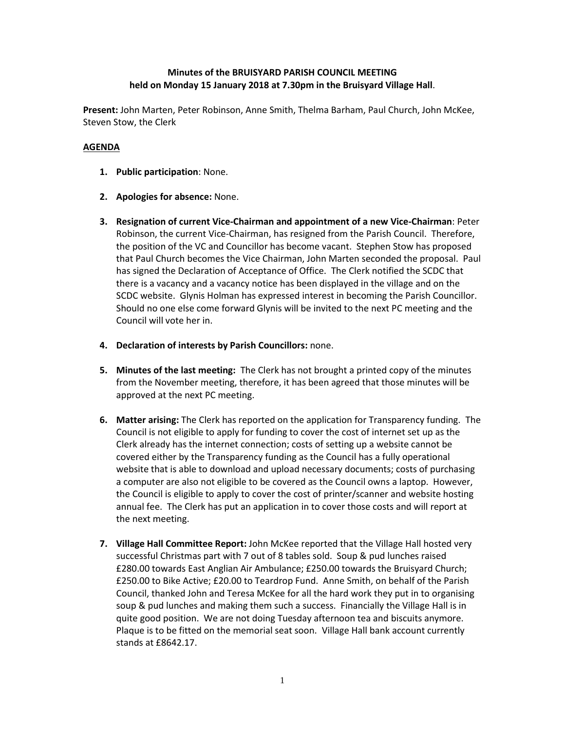## **Minutes of the BRUISYARD PARISH COUNCIL MEETING held on Monday 15 January 2018 at 7.30pm in the Bruisyard Village Hall**.

**Present:** John Marten, Peter Robinson, Anne Smith, Thelma Barham, Paul Church, John McKee, Steven Stow, the Clerk

### **AGENDA**

- **1. Public participation**: None.
- **2. Apologies for absence:** None.
- **3. Resignation of current Vice-Chairman and appointment of a new Vice-Chairman**: Peter Robinson, the current Vice-Chairman, has resigned from the Parish Council. Therefore, the position of the VC and Councillor has become vacant. Stephen Stow has proposed that Paul Church becomes the Vice Chairman, John Marten seconded the proposal. Paul has signed the Declaration of Acceptance of Office. The Clerk notified the SCDC that there is a vacancy and a vacancy notice has been displayed in the village and on the SCDC website. Glynis Holman has expressed interest in becoming the Parish Councillor. Should no one else come forward Glynis will be invited to the next PC meeting and the Council will vote her in.
- **4. Declaration of interests by Parish Councillors:** none.
- **5. Minutes of the last meeting:** The Clerk has not brought a printed copy of the minutes from the November meeting, therefore, it has been agreed that those minutes will be approved at the next PC meeting.
- **6. Matter arising:** The Clerk has reported on the application for Transparency funding. The Council is not eligible to apply for funding to cover the cost of internet set up as the Clerk already has the internet connection; costs of setting up a website cannot be covered either by the Transparency funding as the Council has a fully operational website that is able to download and upload necessary documents; costs of purchasing a computer are also not eligible to be covered as the Council owns a laptop. However, the Council is eligible to apply to cover the cost of printer/scanner and website hosting annual fee. The Clerk has put an application in to cover those costs and will report at the next meeting.
- **7. Village Hall Committee Report:** John McKee reported that the Village Hall hosted very successful Christmas part with 7 out of 8 tables sold. Soup & pud lunches raised £280.00 towards East Anglian Air Ambulance; £250.00 towards the Bruisyard Church; £250.00 to Bike Active; £20.00 to Teardrop Fund. Anne Smith, on behalf of the Parish Council, thanked John and Teresa McKee for all the hard work they put in to organising soup & pud lunches and making them such a success. Financially the Village Hall is in quite good position. We are not doing Tuesday afternoon tea and biscuits anymore. Plaque is to be fitted on the memorial seat soon. Village Hall bank account currently stands at £8642.17.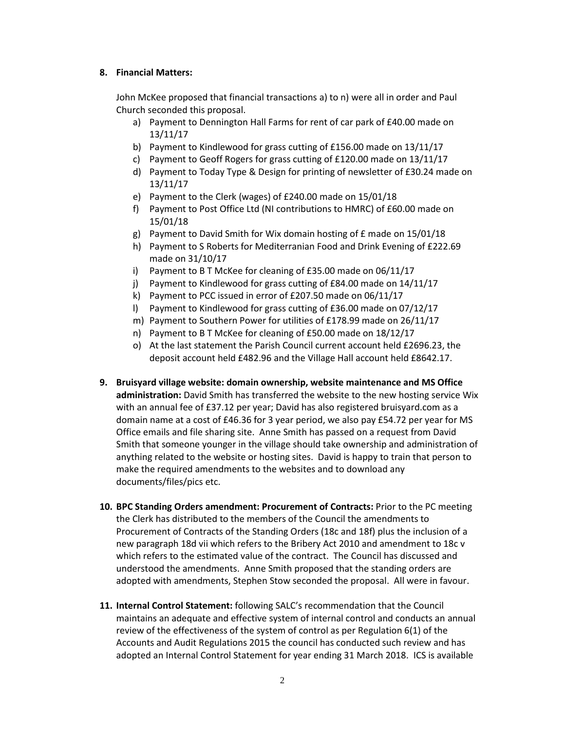#### **8. Financial Matters:**

John McKee proposed that financial transactions a) to n) were all in order and Paul Church seconded this proposal.

- a) Payment to Dennington Hall Farms for rent of car park of £40.00 made on 13/11/17
- b) Payment to Kindlewood for grass cutting of £156.00 made on 13/11/17
- c) Payment to Geoff Rogers for grass cutting of £120.00 made on 13/11/17
- d) Payment to Today Type & Design for printing of newsletter of £30.24 made on 13/11/17
- e) Payment to the Clerk (wages) of £240.00 made on 15/01/18
- f) Payment to Post Office Ltd (NI contributions to HMRC) of £60.00 made on 15/01/18
- g) Payment to David Smith for Wix domain hosting of £ made on 15/01/18
- h) Payment to S Roberts for Mediterranian Food and Drink Evening of £222.69 made on 31/10/17
- i) Payment to B T McKee for cleaning of £35.00 made on 06/11/17
- j) Payment to Kindlewood for grass cutting of £84.00 made on 14/11/17
- k) Payment to PCC issued in error of £207.50 made on 06/11/17
- l) Payment to Kindlewood for grass cutting of £36.00 made on 07/12/17
- m) Payment to Southern Power for utilities of £178.99 made on 26/11/17
- n) Payment to B T McKee for cleaning of £50.00 made on 18/12/17
- o) At the last statement the Parish Council current account held £2696.23, the deposit account held £482.96 and the Village Hall account held £8642.17.
- **9. Bruisyard village website: domain ownership, website maintenance and MS Office administration:** David Smith has transferred the website to the new hosting service Wix with an annual fee of £37.12 per year; David has also registered bruisyard.com as a domain name at a cost of £46.36 for 3 year period, we also pay £54.72 per year for MS Office emails and file sharing site. Anne Smith has passed on a request from David Smith that someone younger in the village should take ownership and administration of anything related to the website or hosting sites. David is happy to train that person to make the required amendments to the websites and to download any documents/files/pics etc.
- **10. BPC Standing Orders amendment: Procurement of Contracts:** Prior to the PC meeting the Clerk has distributed to the members of the Council the amendments to Procurement of Contracts of the Standing Orders (18c and 18f) plus the inclusion of a new paragraph 18d vii which refers to the Bribery Act 2010 and amendment to 18c v which refers to the estimated value of the contract. The Council has discussed and understood the amendments. Anne Smith proposed that the standing orders are adopted with amendments, Stephen Stow seconded the proposal. All were in favour.
- **11. Internal Control Statement:** following SALC's recommendation that the Council maintains an adequate and effective system of internal control and conducts an annual review of the effectiveness of the system of control as per Regulation 6(1) of the Accounts and Audit Regulations 2015 the council has conducted such review and has adopted an Internal Control Statement for year ending 31 March 2018. ICS is available